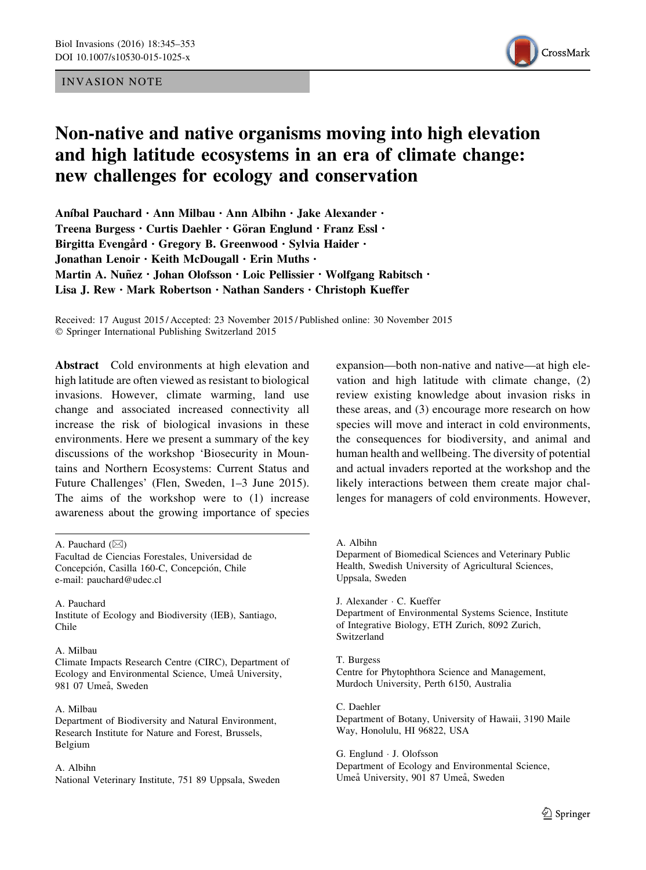# INVASION NOTE



# Non-native and native organisms moving into high elevation and high latitude ecosystems in an era of climate change: new challenges for ecology and conservation

Aníbal Pauchard · Ann Milbau · Ann Albihn · Jake Alexander · Treena Burgess · Curtis Daehler · Göran Englund · Franz Essl · Birgitta Evengård · Gregory B. Greenwood · Sylvia Haider · Jonathan Lenoir · Keith McDougall · Erin Muths · Martin A. Nuñez · Johan Olofsson · Loic Pellissier · Wolfgang Rabitsch · Lisa J. Rew · Mark Robertson · Nathan Sanders · Christoph Kueffer

Received: 17 August 2015 / Accepted: 23 November 2015 / Published online: 30 November 2015 - Springer International Publishing Switzerland 2015

Abstract Cold environments at high elevation and high latitude are often viewed as resistant to biological invasions. However, climate warming, land use change and associated increased connectivity all increase the risk of biological invasions in these environments. Here we present a summary of the key discussions of the workshop 'Biosecurity in Mountains and Northern Ecosystems: Current Status and Future Challenges' (Flen, Sweden, 1–3 June 2015). The aims of the workshop were to (1) increase awareness about the growing importance of species

A. Pauchard  $(\boxtimes)$ 

A. Pauchard Institute of Ecology and Biodiversity (IEB), Santiago, Chile

#### A. Milbau

Climate Impacts Research Centre (CIRC), Department of Ecology and Environmental Science, Umeå University, 981 07 Umeå, Sweden

A. Milbau Department of Biodiversity and Natural Environment, Research Institute for Nature and Forest, Brussels, Belgium

#### A. Albihn

National Veterinary Institute, 751 89 Uppsala, Sweden

expansion—both non-native and native—at high elevation and high latitude with climate change, (2) review existing knowledge about invasion risks in these areas, and (3) encourage more research on how species will move and interact in cold environments, the consequences for biodiversity, and animal and human health and wellbeing. The diversity of potential and actual invaders reported at the workshop and the likely interactions between them create major challenges for managers of cold environments. However,

Deparment of Biomedical Sciences and Veterinary Public Health, Swedish University of Agricultural Sciences, Uppsala, Sweden

J. Alexander - C. Kueffer Department of Environmental Systems Science, Institute of Integrative Biology, ETH Zurich, 8092 Zurich, Switzerland

T. Burgess Centre for Phytophthora Science and Management, Murdoch University, Perth 6150, Australia

C. Daehler Department of Botany, University of Hawaii, 3190 Maile Way, Honolulu, HI 96822, USA

G. Englund - J. Olofsson Department of Ecology and Environmental Science, Umeå University, 901 87 Umeå, Sweden

Facultad de Ciencias Forestales, Universidad de Concepción, Casilla 160-C, Concepción, Chile e-mail: pauchard@udec.cl

A. Albihn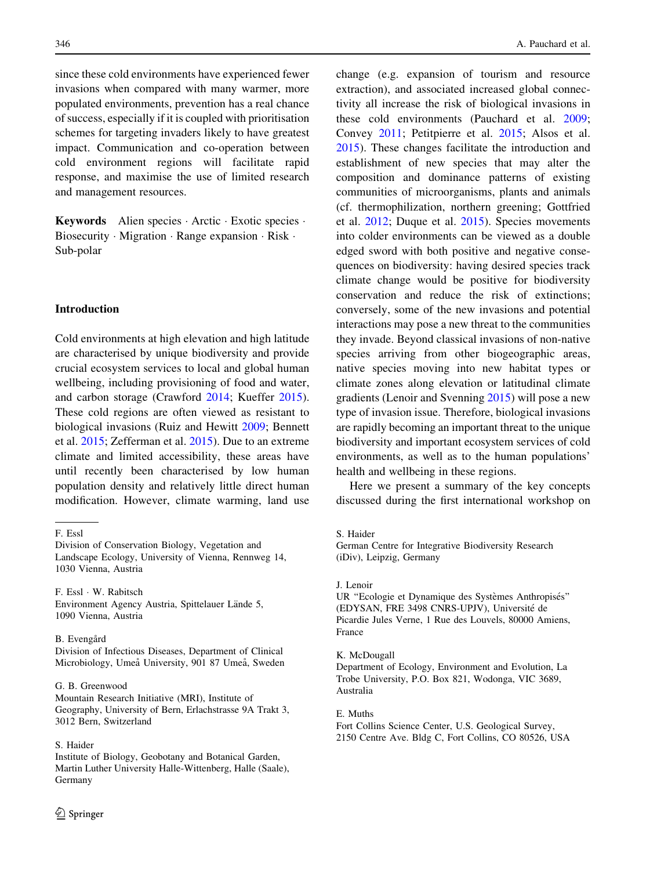since these cold environments have experienced fewer invasions when compared with many warmer, more populated environments, prevention has a real chance of success, especially if it is coupled with prioritisation schemes for targeting invaders likely to have greatest impact. Communication and co-operation between cold environment regions will facilitate rapid response, and maximise the use of limited research and management resources.

Keywords Alien species - Arctic - Exotic species - Biosecurity · Migration · Range expansion · Risk · Sub-polar

# Introduction

Cold environments at high elevation and high latitude are characterised by unique biodiversity and provide crucial ecosystem services to local and global human wellbeing, including provisioning of food and water, and carbon storage (Crawford [2014;](#page-7-0) Kueffer [2015](#page-7-0)). These cold regions are often viewed as resistant to biological invasions (Ruiz and Hewitt [2009;](#page-8-0) Bennett et al. [2015;](#page-6-0) Zefferman et al. [2015](#page-8-0)). Due to an extreme climate and limited accessibility, these areas have until recently been characterised by low human population density and relatively little direct human modification. However, climate warming, land use

F. Essl - W. Rabitsch

Environment Agency Austria, Spittelauer Lände 5, 1090 Vienna, Austria

B. Evengård

Division of Infectious Diseases, Department of Clinical Microbiology, Umeå University, 901 87 Umeå, Sweden

#### G. B. Greenwood

Mountain Research Initiative (MRI), Institute of Geography, University of Bern, Erlachstrasse 9A Trakt 3, 3012 Bern, Switzerland

#### S. Haider

Institute of Biology, Geobotany and Botanical Garden, Martin Luther University Halle-Wittenberg, Halle (Saale), Germany

change (e.g. expansion of tourism and resource extraction), and associated increased global connectivity all increase the risk of biological invasions in these cold environments (Pauchard et al. [2009](#page-8-0); Convey [2011;](#page-7-0) Petitpierre et al. [2015;](#page-8-0) Alsos et al. [2015\)](#page-6-0). These changes facilitate the introduction and establishment of new species that may alter the composition and dominance patterns of existing communities of microorganisms, plants and animals (cf. thermophilization, northern greening; Gottfried et al. [2012](#page-7-0); Duque et al. [2015](#page-7-0)). Species movements into colder environments can be viewed as a double edged sword with both positive and negative consequences on biodiversity: having desired species track climate change would be positive for biodiversity conservation and reduce the risk of extinctions; conversely, some of the new invasions and potential interactions may pose a new threat to the communities they invade. Beyond classical invasions of non-native species arriving from other biogeographic areas, native species moving into new habitat types or climate zones along elevation or latitudinal climate gradients (Lenoir and Svenning [2015\)](#page-7-0) will pose a new type of invasion issue. Therefore, biological invasions are rapidly becoming an important threat to the unique biodiversity and important ecosystem services of cold environments, as well as to the human populations' health and wellbeing in these regions.

Here we present a summary of the key concepts discussed during the first international workshop on

S. Haider

German Centre for Integrative Biodiversity Research (iDiv), Leipzig, Germany

## J. Lenoir

UR "Ecologie et Dynamique des Systèmes Anthropisés" (EDYSAN, FRE 3498 CNRS-UPJV), Université de Picardie Jules Verne, 1 Rue des Louvels, 80000 Amiens, France

#### K. McDougall

Department of Ecology, Environment and Evolution, La Trobe University, P.O. Box 821, Wodonga, VIC 3689, Australia

#### E. Muths

Fort Collins Science Center, U.S. Geological Survey, 2150 Centre Ave. Bldg C, Fort Collins, CO 80526, USA

F. Essl

Division of Conservation Biology, Vegetation and Landscape Ecology, University of Vienna, Rennweg 14, 1030 Vienna, Austria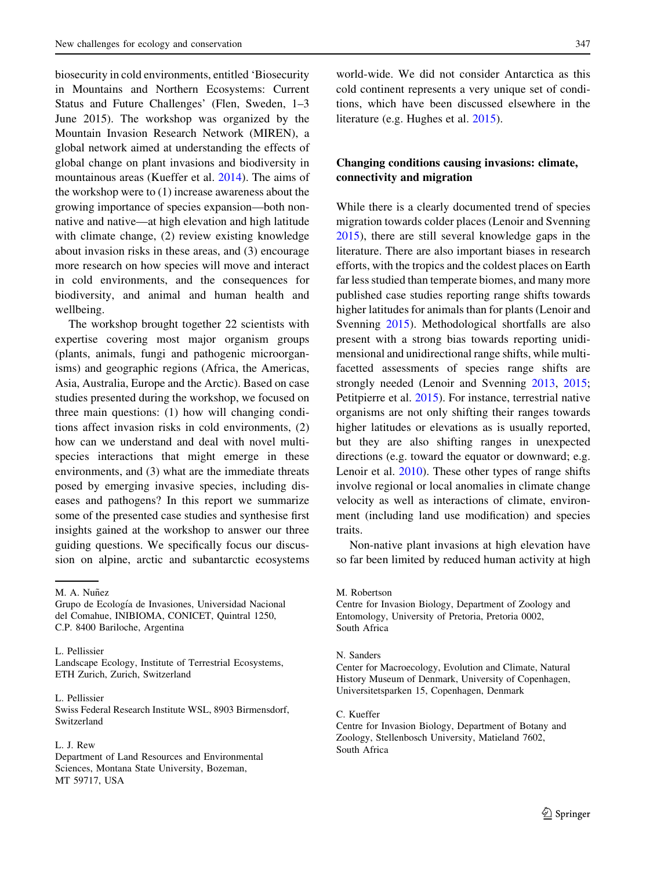biosecurity in cold environments, entitled 'Biosecurity in Mountains and Northern Ecosystems: Current Status and Future Challenges' (Flen, Sweden, 1–3 June 2015). The workshop was organized by the Mountain Invasion Research Network (MIREN), a global network aimed at understanding the effects of global change on plant invasions and biodiversity in mountainous areas (Kueffer et al. [2014\)](#page-7-0). The aims of the workshop were to (1) increase awareness about the growing importance of species expansion—both nonnative and native—at high elevation and high latitude with climate change, (2) review existing knowledge about invasion risks in these areas, and (3) encourage more research on how species will move and interact in cold environments, and the consequences for biodiversity, and animal and human health and wellbeing.

The workshop brought together 22 scientists with expertise covering most major organism groups (plants, animals, fungi and pathogenic microorganisms) and geographic regions (Africa, the Americas, Asia, Australia, Europe and the Arctic). Based on case studies presented during the workshop, we focused on three main questions: (1) how will changing conditions affect invasion risks in cold environments, (2) how can we understand and deal with novel multispecies interactions that might emerge in these environments, and (3) what are the immediate threats posed by emerging invasive species, including diseases and pathogens? In this report we summarize some of the presented case studies and synthesise first insights gained at the workshop to answer our three guiding questions. We specifically focus our discussion on alpine, arctic and subantarctic ecosystems

M. A. Nuñez

L. Pellissier

Landscape Ecology, Institute of Terrestrial Ecosystems, ETH Zurich, Zurich, Switzerland

#### L. Pellissier

Swiss Federal Research Institute WSL, 8903 Birmensdorf, Switzerland

#### L. J. Rew

Department of Land Resources and Environmental Sciences, Montana State University, Bozeman, MT 59717, USA

world-wide. We did not consider Antarctica as this cold continent represents a very unique set of conditions, which have been discussed elsewhere in the literature (e.g. Hughes et al. [2015](#page-7-0)).

# Changing conditions causing invasions: climate, connectivity and migration

While there is a clearly documented trend of species migration towards colder places (Lenoir and Svenning [2015\)](#page-7-0), there are still several knowledge gaps in the literature. There are also important biases in research efforts, with the tropics and the coldest places on Earth far less studied than temperate biomes, and many more published case studies reporting range shifts towards higher latitudes for animals than for plants (Lenoir and Svenning [2015](#page-7-0)). Methodological shortfalls are also present with a strong bias towards reporting unidimensional and unidirectional range shifts, while multifacetted assessments of species range shifts are strongly needed (Lenoir and Svenning [2013,](#page-7-0) [2015](#page-7-0); Petitpierre et al. [2015\)](#page-8-0). For instance, terrestrial native organisms are not only shifting their ranges towards higher latitudes or elevations as is usually reported, but they are also shifting ranges in unexpected directions (e.g. toward the equator or downward; e.g. Lenoir et al. [2010\)](#page-7-0). These other types of range shifts involve regional or local anomalies in climate change velocity as well as interactions of climate, environment (including land use modification) and species traits.

Non-native plant invasions at high elevation have so far been limited by reduced human activity at high

M. Robertson

Centre for Invasion Biology, Department of Zoology and Entomology, University of Pretoria, Pretoria 0002, South Africa

## N. Sanders

Center for Macroecology, Evolution and Climate, Natural History Museum of Denmark, University of Copenhagen, Universitetsparken 15, Copenhagen, Denmark

C. Kueffer

Centre for Invasion Biology, Department of Botany and Zoology, Stellenbosch University, Matieland 7602, South Africa

Grupo de Ecología de Invasiones, Universidad Nacional del Comahue, INIBIOMA, CONICET, Quintral 1250, C.P. 8400 Bariloche, Argentina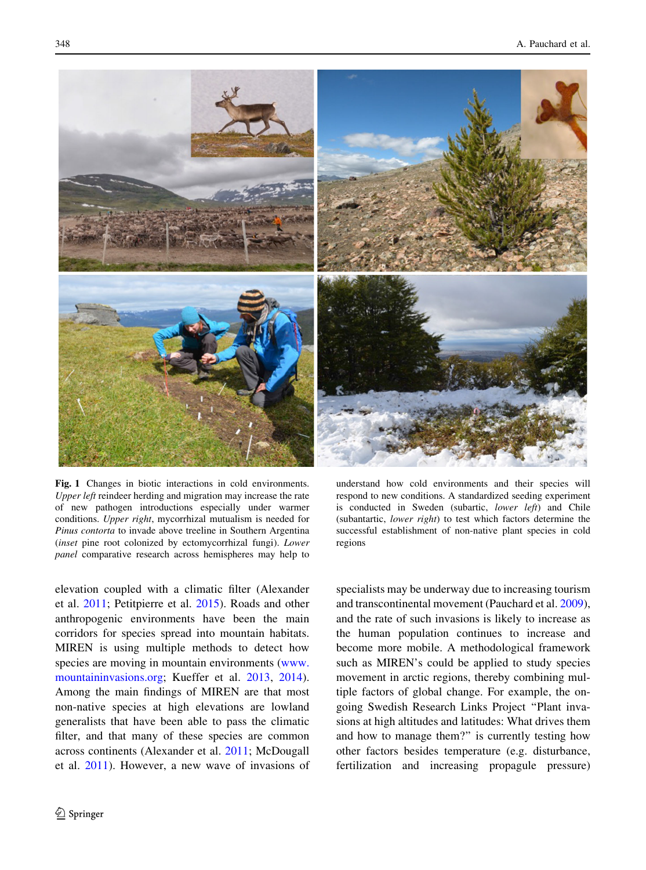<span id="page-3-0"></span>

Fig. 1 Changes in biotic interactions in cold environments. Upper left reindeer herding and migration may increase the rate of new pathogen introductions especially under warmer conditions. Upper right, mycorrhizal mutualism is needed for Pinus contorta to invade above treeline in Southern Argentina (inset pine root colonized by ectomycorrhizal fungi). Lower panel comparative research across hemispheres may help to

elevation coupled with a climatic filter (Alexander et al. [2011;](#page-6-0) Petitpierre et al. [2015](#page-8-0)). Roads and other anthropogenic environments have been the main corridors for species spread into mountain habitats. MIREN is using multiple methods to detect how species are moving in mountain environments [\(www.](http://www.mountaininvasions.org) [mountaininvasions.org](http://www.mountaininvasions.org); Kueffer et al. [2013,](#page-7-0) [2014](#page-7-0)). Among the main findings of MIREN are that most non-native species at high elevations are lowland generalists that have been able to pass the climatic filter, and that many of these species are common across continents (Alexander et al. [2011;](#page-6-0) McDougall et al. [2011](#page-7-0)). However, a new wave of invasions of

understand how cold environments and their species will respond to new conditions. A standardized seeding experiment is conducted in Sweden (subartic, lower left) and Chile (subantartic, lower right) to test which factors determine the successful establishment of non-native plant species in cold regions

specialists may be underway due to increasing tourism and transcontinental movement (Pauchard et al. [2009](#page-8-0)), and the rate of such invasions is likely to increase as the human population continues to increase and become more mobile. A methodological framework such as MIREN's could be applied to study species movement in arctic regions, thereby combining multiple factors of global change. For example, the ongoing Swedish Research Links Project ''Plant invasions at high altitudes and latitudes: What drives them and how to manage them?'' is currently testing how other factors besides temperature (e.g. disturbance, fertilization and increasing propagule pressure)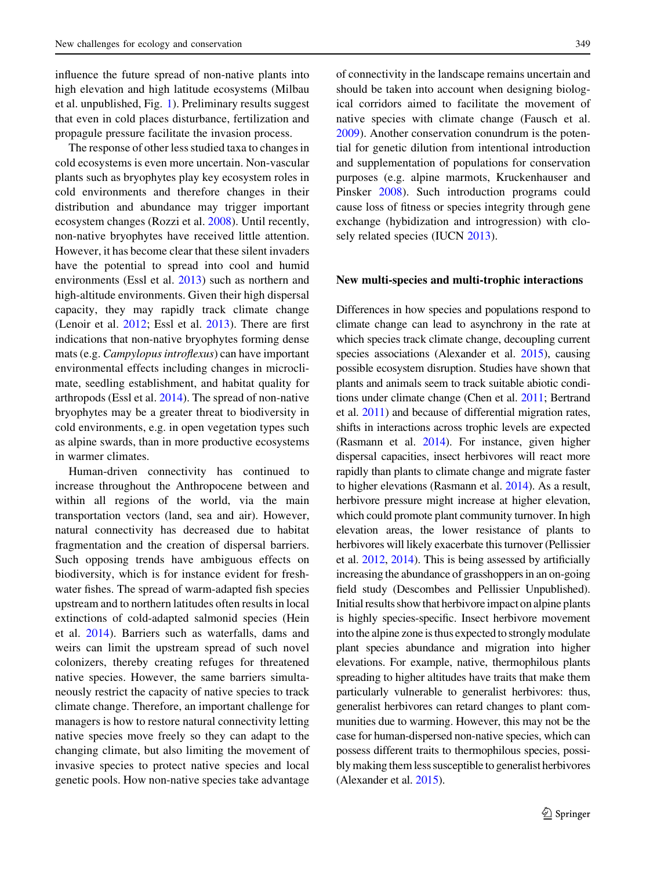influence the future spread of non-native plants into high elevation and high latitude ecosystems (Milbau et al. unpublished, Fig. [1](#page-3-0)). Preliminary results suggest that even in cold places disturbance, fertilization and propagule pressure facilitate the invasion process.

The response of other less studied taxa to changes in cold ecosystems is even more uncertain. Non-vascular plants such as bryophytes play key ecosystem roles in cold environments and therefore changes in their distribution and abundance may trigger important ecosystem changes (Rozzi et al. [2008](#page-8-0)). Until recently, non-native bryophytes have received little attention. However, it has become clear that these silent invaders have the potential to spread into cool and humid environments (Essl et al. [2013](#page-7-0)) such as northern and high-altitude environments. Given their high dispersal capacity, they may rapidly track climate change (Lenoir et al. [2012](#page-7-0); Essl et al. [2013\)](#page-7-0). There are first indications that non-native bryophytes forming dense mats (e.g. Campylopus introflexus) can have important environmental effects including changes in microclimate, seedling establishment, and habitat quality for arthropods (Essl et al. [2014\)](#page-7-0). The spread of non-native bryophytes may be a greater threat to biodiversity in cold environments, e.g. in open vegetation types such as alpine swards, than in more productive ecosystems in warmer climates.

Human-driven connectivity has continued to increase throughout the Anthropocene between and within all regions of the world, via the main transportation vectors (land, sea and air). However, natural connectivity has decreased due to habitat fragmentation and the creation of dispersal barriers. Such opposing trends have ambiguous effects on biodiversity, which is for instance evident for freshwater fishes. The spread of warm-adapted fish species upstream and to northern latitudes often results in local extinctions of cold-adapted salmonid species (Hein et al. [2014\)](#page-7-0). Barriers such as waterfalls, dams and weirs can limit the upstream spread of such novel colonizers, thereby creating refuges for threatened native species. However, the same barriers simultaneously restrict the capacity of native species to track climate change. Therefore, an important challenge for managers is how to restore natural connectivity letting native species move freely so they can adapt to the changing climate, but also limiting the movement of invasive species to protect native species and local genetic pools. How non-native species take advantage of connectivity in the landscape remains uncertain and should be taken into account when designing biological corridors aimed to facilitate the movement of native species with climate change (Fausch et al. [2009\)](#page-7-0). Another conservation conundrum is the potential for genetic dilution from intentional introduction and supplementation of populations for conservation purposes (e.g. alpine marmots, Kruckenhauser and Pinsker [2008\)](#page-7-0). Such introduction programs could cause loss of fitness or species integrity through gene exchange (hybidization and introgression) with closely related species (IUCN [2013](#page-7-0)).

#### New multi-species and multi-trophic interactions

Differences in how species and populations respond to climate change can lead to asynchrony in the rate at which species track climate change, decoupling current species associations (Alexander et al. [2015\)](#page-6-0), causing possible ecosystem disruption. Studies have shown that plants and animals seem to track suitable abiotic conditions under climate change (Chen et al. [2011;](#page-7-0) Bertrand et al. [2011](#page-7-0)) and because of differential migration rates, shifts in interactions across trophic levels are expected (Rasmann et al. [2014\)](#page-8-0). For instance, given higher dispersal capacities, insect herbivores will react more rapidly than plants to climate change and migrate faster to higher elevations (Rasmann et al. [2014\)](#page-8-0). As a result, herbivore pressure might increase at higher elevation, which could promote plant community turnover. In high elevation areas, the lower resistance of plants to herbivores will likely exacerbate this turnover (Pellissier et al. [2012](#page-8-0), [2014\)](#page-8-0). This is being assessed by artificially increasing the abundance of grasshoppers in an on-going field study (Descombes and Pellissier Unpublished). Initial results show that herbivore impact on alpine plants is highly species-specific. Insect herbivore movement into the alpine zone is thus expected to strongly modulate plant species abundance and migration into higher elevations. For example, native, thermophilous plants spreading to higher altitudes have traits that make them particularly vulnerable to generalist herbivores: thus, generalist herbivores can retard changes to plant communities due to warming. However, this may not be the case for human-dispersed non-native species, which can possess different traits to thermophilous species, possibly making them less susceptible to generalist herbivores (Alexander et al. [2015\)](#page-6-0).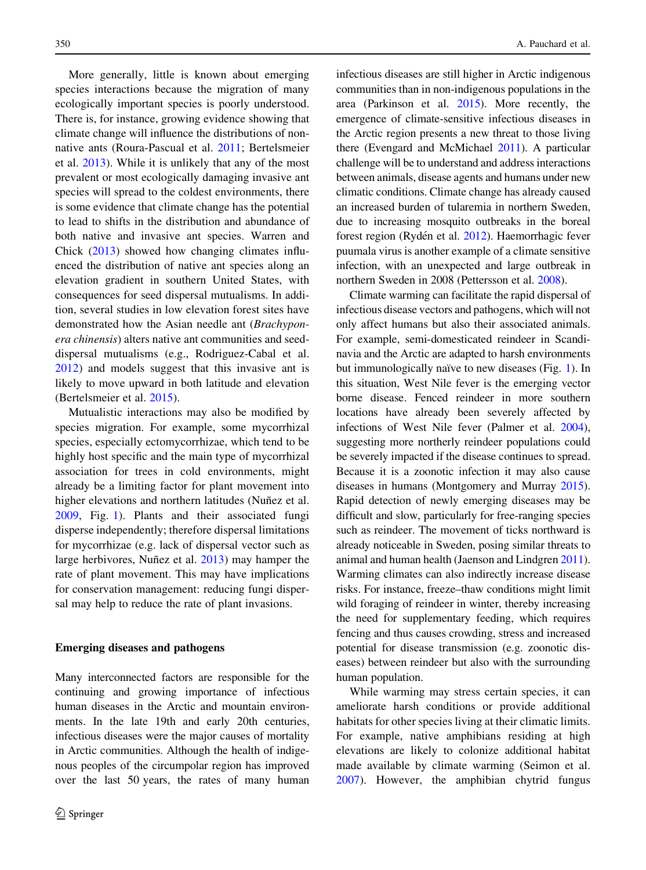More generally, little is known about emerging species interactions because the migration of many ecologically important species is poorly understood. There is, for instance, growing evidence showing that climate change will influence the distributions of nonnative ants (Roura-Pascual et al. [2011](#page-8-0); Bertelsmeier et al. [2013\)](#page-6-0). While it is unlikely that any of the most prevalent or most ecologically damaging invasive ant species will spread to the coldest environments, there is some evidence that climate change has the potential to lead to shifts in the distribution and abundance of both native and invasive ant species. Warren and Chick [\(2013](#page-8-0)) showed how changing climates influenced the distribution of native ant species along an elevation gradient in southern United States, with consequences for seed dispersal mutualisms. In addition, several studies in low elevation forest sites have demonstrated how the Asian needle ant (Brachyponera chinensis) alters native ant communities and seeddispersal mutualisms (e.g., Rodriguez-Cabal et al. [2012\)](#page-8-0) and models suggest that this invasive ant is likely to move upward in both latitude and elevation (Bertelsmeier et al. [2015\)](#page-6-0).

Mutualistic interactions may also be modified by species migration. For example, some mycorrhizal species, especially ectomycorrhizae, which tend to be highly host specific and the main type of mycorrhizal association for trees in cold environments, might already be a limiting factor for plant movement into higher elevations and northern latitudes (Nuñez et al. [2009,](#page-7-0) Fig. [1\)](#page-3-0). Plants and their associated fungi disperse independently; therefore dispersal limitations for mycorrhizae (e.g. lack of dispersal vector such as large herbivores, Nuñez et al. [2013](#page-7-0)) may hamper the rate of plant movement. This may have implications for conservation management: reducing fungi dispersal may help to reduce the rate of plant invasions.

#### Emerging diseases and pathogens

Many interconnected factors are responsible for the continuing and growing importance of infectious human diseases in the Arctic and mountain environments. In the late 19th and early 20th centuries, infectious diseases were the major causes of mortality in Arctic communities. Although the health of indigenous peoples of the circumpolar region has improved over the last 50 years, the rates of many human infectious diseases are still higher in Arctic indigenous communities than in non-indigenous populations in the area (Parkinson et al. [2015\)](#page-8-0). More recently, the emergence of climate-sensitive infectious diseases in the Arctic region presents a new threat to those living there (Evengard and McMichael [2011](#page-7-0)). A particular challenge will be to understand and address interactions between animals, disease agents and humans under new climatic conditions. Climate change has already caused an increased burden of tularemia in northern Sweden, due to increasing mosquito outbreaks in the boreal forest region (Rydén et al. [2012](#page-8-0)). Haemorrhagic fever puumala virus is another example of a climate sensitive infection, with an unexpected and large outbreak in northern Sweden in 2008 (Pettersson et al. [2008](#page-8-0)).

Climate warming can facilitate the rapid dispersal of infectious disease vectors and pathogens, which will not only affect humans but also their associated animals. For example, semi-domesticated reindeer in Scandinavia and the Arctic are adapted to harsh environments but immunologically naïve to new diseases (Fig.  $1$ ). In this situation, West Nile fever is the emerging vector borne disease. Fenced reindeer in more southern locations have already been severely affected by infections of West Nile fever (Palmer et al. [2004\)](#page-7-0), suggesting more northerly reindeer populations could be severely impacted if the disease continues to spread. Because it is a zoonotic infection it may also cause diseases in humans (Montgomery and Murray [2015\)](#page-7-0). Rapid detection of newly emerging diseases may be difficult and slow, particularly for free-ranging species such as reindeer. The movement of ticks northward is already noticeable in Sweden, posing similar threats to animal and human health (Jaenson and Lindgren [2011\)](#page-7-0). Warming climates can also indirectly increase disease risks. For instance, freeze–thaw conditions might limit wild foraging of reindeer in winter, thereby increasing the need for supplementary feeding, which requires fencing and thus causes crowding, stress and increased potential for disease transmission (e.g. zoonotic diseases) between reindeer but also with the surrounding human population.

While warming may stress certain species, it can ameliorate harsh conditions or provide additional habitats for other species living at their climatic limits. For example, native amphibians residing at high elevations are likely to colonize additional habitat made available by climate warming (Seimon et al. [2007\)](#page-8-0). However, the amphibian chytrid fungus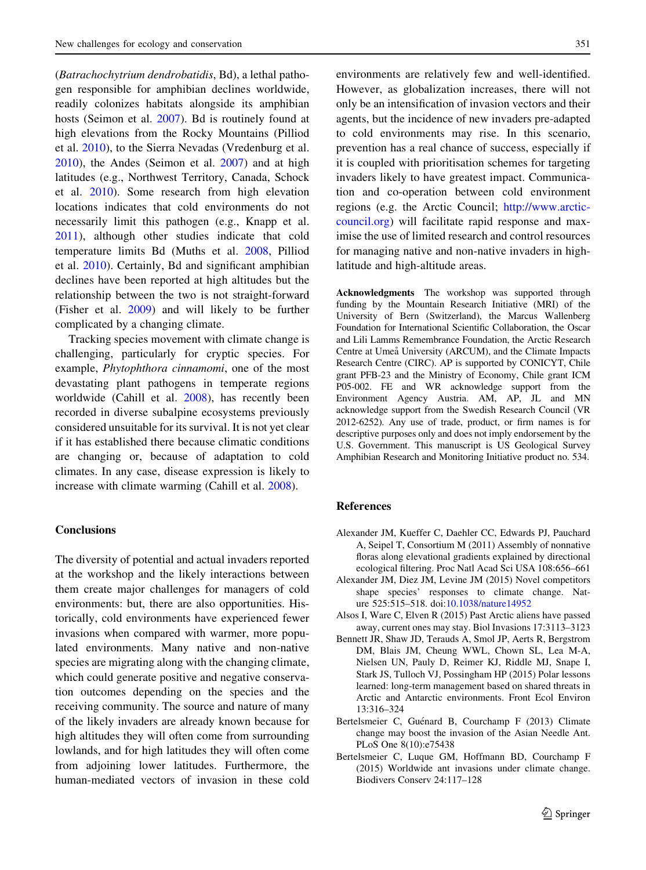<span id="page-6-0"></span>(Batrachochytrium dendrobatidis, Bd), a lethal pathogen responsible for amphibian declines worldwide, readily colonizes habitats alongside its amphibian hosts (Seimon et al. [2007\)](#page-8-0). Bd is routinely found at high elevations from the Rocky Mountains (Pilliod et al. [2010\)](#page-7-0), to the Sierra Nevadas (Vredenburg et al. [2010\)](#page-8-0), the Andes (Seimon et al. [2007\)](#page-8-0) and at high latitudes (e.g., Northwest Territory, Canada, Schock et al. [2010\)](#page-8-0). Some research from high elevation locations indicates that cold environments do not necessarily limit this pathogen (e.g., Knapp et al. [2011\)](#page-7-0), although other studies indicate that cold temperature limits Bd (Muths et al. [2008,](#page-7-0) Pilliod et al. [2010](#page-7-0)). Certainly, Bd and significant amphibian declines have been reported at high altitudes but the relationship between the two is not straight-forward (Fisher et al. [2009\)](#page-7-0) and will likely to be further complicated by a changing climate.

Tracking species movement with climate change is challenging, particularly for cryptic species. For example, Phytophthora cinnamomi, one of the most devastating plant pathogens in temperate regions worldwide (Cahill et al. [2008\)](#page-7-0), has recently been recorded in diverse subalpine ecosystems previously considered unsuitable for its survival. It is not yet clear if it has established there because climatic conditions are changing or, because of adaptation to cold climates. In any case, disease expression is likely to increase with climate warming (Cahill et al. [2008](#page-7-0)).

# **Conclusions**

The diversity of potential and actual invaders reported at the workshop and the likely interactions between them create major challenges for managers of cold environments: but, there are also opportunities. Historically, cold environments have experienced fewer invasions when compared with warmer, more populated environments. Many native and non-native species are migrating along with the changing climate, which could generate positive and negative conservation outcomes depending on the species and the receiving community. The source and nature of many of the likely invaders are already known because for high altitudes they will often come from surrounding lowlands, and for high latitudes they will often come from adjoining lower latitudes. Furthermore, the human-mediated vectors of invasion in these cold

environments are relatively few and well-identified. However, as globalization increases, there will not only be an intensification of invasion vectors and their agents, but the incidence of new invaders pre-adapted to cold environments may rise. In this scenario, prevention has a real chance of success, especially if it is coupled with prioritisation schemes for targeting invaders likely to have greatest impact. Communication and co-operation between cold environment regions (e.g. the Arctic Council; [http://www.arctic](http://www.arctic-council.org)[council.org](http://www.arctic-council.org)) will facilitate rapid response and maximise the use of limited research and control resources for managing native and non-native invaders in highlatitude and high-altitude areas.

Acknowledgments The workshop was supported through funding by the Mountain Research Initiative (MRI) of the University of Bern (Switzerland), the Marcus Wallenberg Foundation for International Scientific Collaboration, the Oscar and Lili Lamms Remembrance Foundation, the Arctic Research Centre at Umeå University (ARCUM), and the Climate Impacts Research Centre (CIRC). AP is supported by CONICYT, Chile grant PFB-23 and the Ministry of Economy, Chile grant ICM P05-002. FE and WR acknowledge support from the Environment Agency Austria. AM, AP, JL and MN acknowledge support from the Swedish Research Council (VR 2012-6252). Any use of trade, product, or firm names is for descriptive purposes only and does not imply endorsement by the U.S. Government. This manuscript is US Geological Survey Amphibian Research and Monitoring Initiative product no. 534.

### References

- Alexander JM, Kueffer C, Daehler CC, Edwards PJ, Pauchard A, Seipel T, Consortium M (2011) Assembly of nonnative floras along elevational gradients explained by directional ecological filtering. Proc Natl Acad Sci USA 108:656–661
- Alexander JM, Diez JM, Levine JM (2015) Novel competitors shape species' responses to climate change. Nature 525:515–518. doi:[10.1038/nature14952](http://dx.doi.org/10.1038/nature14952)
- Alsos I, Ware C, Elven R (2015) Past Arctic aliens have passed away, current ones may stay. Biol Invasions 17:3113–3123
- Bennett JR, Shaw JD, Terauds A, Smol JP, Aerts R, Bergstrom DM, Blais JM, Cheung WWL, Chown SL, Lea M-A, Nielsen UN, Pauly D, Reimer KJ, Riddle MJ, Snape I, Stark JS, Tulloch VJ, Possingham HP (2015) Polar lessons learned: long-term management based on shared threats in Arctic and Antarctic environments. Front Ecol Environ 13:316–324
- Bertelsmeier C, Guénard B, Courchamp F (2013) Climate change may boost the invasion of the Asian Needle Ant. PLoS One 8(10):e75438
- Bertelsmeier C, Luque GM, Hoffmann BD, Courchamp F (2015) Worldwide ant invasions under climate change. Biodivers Conserv 24:117–128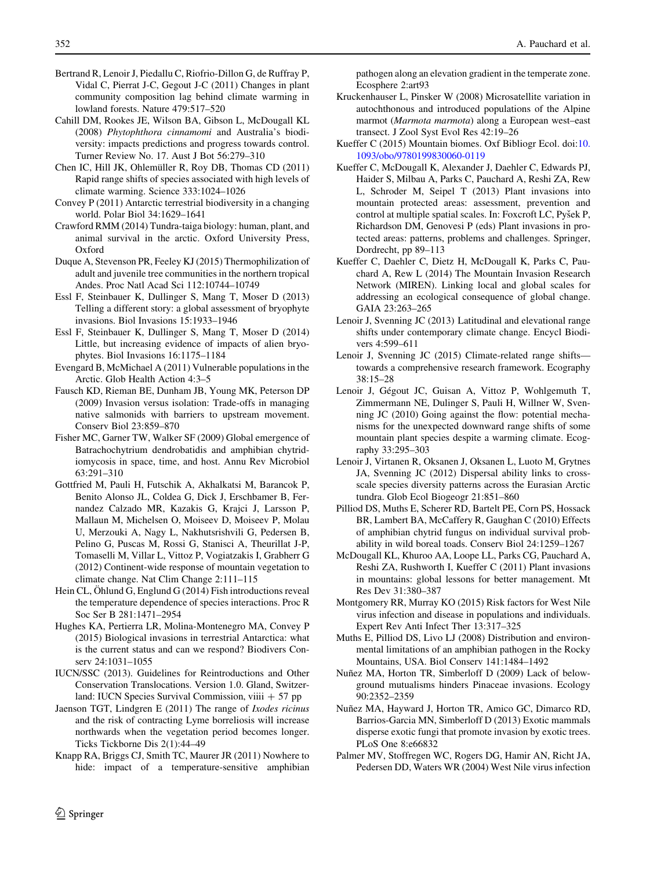- <span id="page-7-0"></span>Bertrand R, Lenoir J, Piedallu C, Riofrio-Dillon G, de Ruffray P, Vidal C, Pierrat J-C, Gegout J-C (2011) Changes in plant community composition lag behind climate warming in lowland forests. Nature 479:517–520
- Cahill DM, Rookes JE, Wilson BA, Gibson L, McDougall KL (2008) Phytophthora cinnamomi and Australia's biodiversity: impacts predictions and progress towards control. Turner Review No. 17. Aust J Bot 56:279–310
- Chen IC, Hill JK, Ohlemüller R, Roy DB, Thomas CD (2011) Rapid range shifts of species associated with high levels of climate warming. Science 333:1024–1026
- Convey P (2011) Antarctic terrestrial biodiversity in a changing world. Polar Biol 34:1629–1641
- Crawford RMM (2014) Tundra-taiga biology: human, plant, and animal survival in the arctic. Oxford University Press, Oxford
- Duque A, Stevenson PR, Feeley KJ (2015) Thermophilization of adult and juvenile tree communities in the northern tropical Andes. Proc Natl Acad Sci 112:10744–10749
- Essl F, Steinbauer K, Dullinger S, Mang T, Moser D (2013) Telling a different story: a global assessment of bryophyte invasions. Biol Invasions 15:1933–1946
- Essl F, Steinbauer K, Dullinger S, Mang T, Moser D (2014) Little, but increasing evidence of impacts of alien bryophytes. Biol Invasions 16:1175–1184
- Evengard B, McMichael A (2011) Vulnerable populations in the Arctic. Glob Health Action 4:3–5
- Fausch KD, Rieman BE, Dunham JB, Young MK, Peterson DP (2009) Invasion versus isolation: Trade-offs in managing native salmonids with barriers to upstream movement. Conserv Biol 23:859–870
- Fisher MC, Garner TW, Walker SF (2009) Global emergence of Batrachochytrium dendrobatidis and amphibian chytridiomycosis in space, time, and host. Annu Rev Microbiol 63:291–310
- Gottfried M, Pauli H, Futschik A, Akhalkatsi M, Barancok P, Benito Alonso JL, Coldea G, Dick J, Erschbamer B, Fernandez Calzado MR, Kazakis G, Krajci J, Larsson P, Mallaun M, Michelsen O, Moiseev D, Moiseev P, Molau U, Merzouki A, Nagy L, Nakhutsrishvili G, Pedersen B, Pelino G, Puscas M, Rossi G, Stanisci A, Theurillat J-P, Tomaselli M, Villar L, Vittoz P, Vogiatzakis I, Grabherr G (2012) Continent-wide response of mountain vegetation to climate change. Nat Clim Change 2:111–115
- Hein CL,  $\ddot{\text{Ohlund G}}$ , Englund G (2014) Fish introductions reveal the temperature dependence of species interactions. Proc R Soc Ser B 281:1471–2954
- Hughes KA, Pertierra LR, Molina-Montenegro MA, Convey P (2015) Biological invasions in terrestrial Antarctica: what is the current status and can we respond? Biodivers Conserv 24:1031–1055
- IUCN/SSC (2013). Guidelines for Reintroductions and Other Conservation Translocations. Version 1.0. Gland, Switzerland: IUCN Species Survival Commission, viiii + 57 pp
- Jaenson TGT, Lindgren E (2011) The range of Ixodes ricinus and the risk of contracting Lyme borreliosis will increase northwards when the vegetation period becomes longer. Ticks Tickborne Dis 2(1):44–49
- Knapp RA, Briggs CJ, Smith TC, Maurer JR (2011) Nowhere to hide: impact of a temperature-sensitive amphibian

pathogen along an elevation gradient in the temperate zone. Ecosphere 2:art93

- Kruckenhauser L, Pinsker W (2008) Microsatellite variation in autochthonous and introduced populations of the Alpine marmot (Marmota marmota) along a European west–east transect. J Zool Syst Evol Res 42:19–26
- Kueffer C (2015) Mountain biomes. Oxf Bibliogr Ecol. doi:[10.](http://dx.doi.org/10.1093/obo/9780199830060-0119) [1093/obo/9780199830060-0119](http://dx.doi.org/10.1093/obo/9780199830060-0119)
- Kueffer C, McDougall K, Alexander J, Daehler C, Edwards PJ, Haider S, Milbau A, Parks C, Pauchard A, Reshi ZA, Rew L, Schroder M, Seipel T (2013) Plant invasions into mountain protected areas: assessment, prevention and control at multiple spatial scales. In: Foxcroft LC, Pyšek P, Richardson DM, Genovesi P (eds) Plant invasions in protected areas: patterns, problems and challenges. Springer, Dordrecht, pp 89–113
- Kueffer C, Daehler C, Dietz H, McDougall K, Parks C, Pauchard A, Rew L (2014) The Mountain Invasion Research Network (MIREN). Linking local and global scales for addressing an ecological consequence of global change. GAIA 23:263–265
- Lenoir J, Svenning JC (2013) Latitudinal and elevational range shifts under contemporary climate change. Encycl Biodivers 4:599–611
- Lenoir J, Svenning JC (2015) Climate-related range shifts towards a comprehensive research framework. Ecography 38:15–28
- Lenoir J, Gégout JC, Guisan A, Vittoz P, Wohlgemuth T, Zimmermann NE, Dulinger S, Pauli H, Willner W, Svenning JC (2010) Going against the flow: potential mechanisms for the unexpected downward range shifts of some mountain plant species despite a warming climate. Ecography 33:295–303
- Lenoir J, Virtanen R, Oksanen J, Oksanen L, Luoto M, Grytnes JA, Svenning JC (2012) Dispersal ability links to crossscale species diversity patterns across the Eurasian Arctic tundra. Glob Ecol Biogeogr 21:851–860
- Pilliod DS, Muths E, Scherer RD, Bartelt PE, Corn PS, Hossack BR, Lambert BA, McCaffery R, Gaughan C (2010) Effects of amphibian chytrid fungus on individual survival probability in wild boreal toads. Conserv Biol 24:1259–1267
- McDougall KL, Khuroo AA, Loope LL, Parks CG, Pauchard A, Reshi ZA, Rushworth I, Kueffer C (2011) Plant invasions in mountains: global lessons for better management. Mt Res Dev 31:380–387
- Montgomery RR, Murray KO (2015) Risk factors for West Nile virus infection and disease in populations and individuals. Expert Rev Anti Infect Ther 13:317–325
- Muths E, Pilliod DS, Livo LJ (2008) Distribution and environmental limitations of an amphibian pathogen in the Rocky Mountains, USA. Biol Conserv 141:1484–1492
- Nuñez MA, Horton TR, Simberloff D (2009) Lack of belowground mutualisms hinders Pinaceae invasions. Ecology 90:2352–2359
- Nuñez MA, Hayward J, Horton TR, Amico GC, Dimarco RD, Barrios-Garcia MN, Simberloff D (2013) Exotic mammals disperse exotic fungi that promote invasion by exotic trees. PLoS One 8:e66832
- Palmer MV, Stoffregen WC, Rogers DG, Hamir AN, Richt JA, Pedersen DD, Waters WR (2004) West Nile virus infection